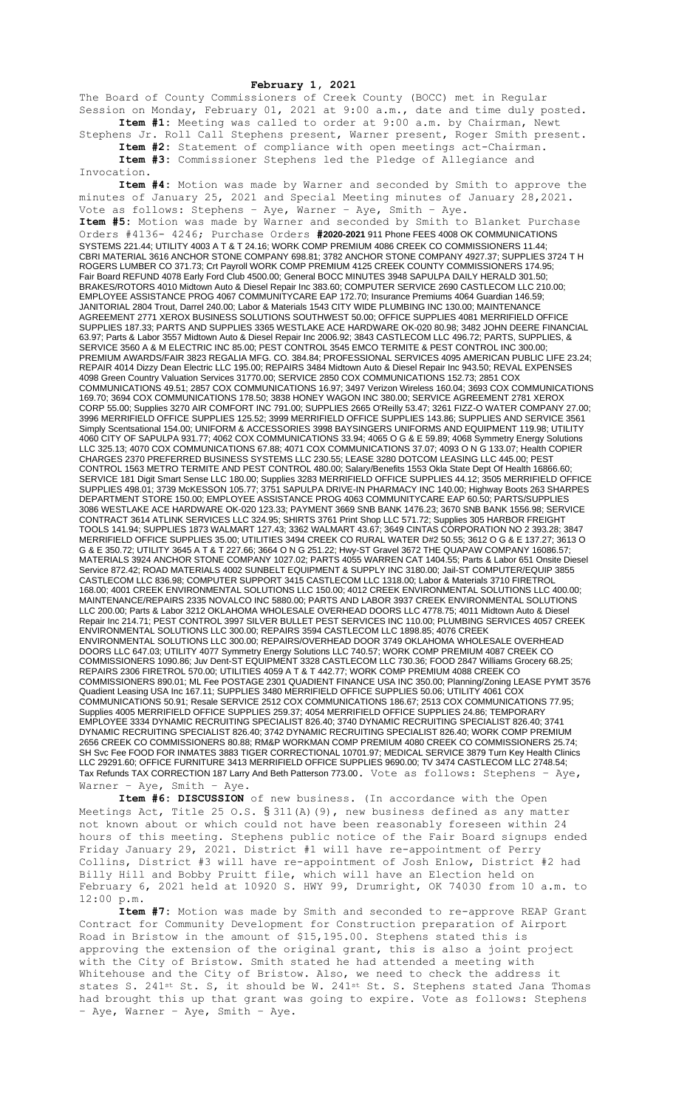## **February 1, 2021**

The Board of County Commissioners of Creek County (BOCC) met in Regular Session on Monday, February 01, 2021 at 9:00 a.m., date and time duly posted. **Item #1:** Meeting was called to order at 9:00 a.m. by Chairman, Newt

Stephens Jr. Roll Call Stephens present, Warner present, Roger Smith present. **Item #2:** Statement of compliance with open meetings act-Chairman. **Item #3:** Commissioner Stephens led the Pledge of Allegiance and

Invocation.

**Item #4:** Motion was made by Warner and seconded by Smith to approve the minutes of January 25, 2021 and Special Meeting minutes of January 28,2021. Vote as follows: Stephens – Aye, Warner – Aye, Smith – Aye. **Item #5:** Motion was made by Warner and seconded by Smith to Blanket Purchase Orders #4136- 4246; Purchase Orders **#2020-2021** 911 Phone FEES 4008 OK COMMUNICATIONS SYSTEMS 221.44; UTILITY 4003 A T & T 24.16; WORK COMP PREMIUM 4086 CREEK CO COMMISSIONERS 11.44; CBRI MATERIAL 3616 ANCHOR STONE COMPANY 698.81; 3782 ANCHOR STONE COMPANY 4927.37; SUPPLIES 3724 T H ROGERS LUMBER CO 371.73; Crt Payroll WORK COMP PREMIUM 4125 CREEK COUNTY COMMISSIONERS 174.95; Fair Board REFUND 4078 Early Ford Club 4500.00; General BOCC MINUTES 3948 SAPULPA DAILY HERALD 301.50; BRAKES/ROTORS 4010 Midtown Auto & Diesel Repair Inc 383.60; COMPUTER SERVICE 2690 CASTLECOM LLC 210.00; EMPLOYEE ASSISTANCE PROG 4067 COMMUNITYCARE EAP 172.70; Insurance Premiums 4064 Guardian 146.59; JANITORIAL 2804 Trout, Darrel 240.00; Labor & Materials 1543 CITY WIDE PLUMBING INC 130.00; MAINTENANCE AGREEMENT 2771 XEROX BUSINESS SOLUTIONS SOUTHWEST 50.00; OFFICE SUPPLIES 4081 MERRIFIELD OFFICE SUPPLIES 187.33; PARTS AND SUPPLIES 3365 WESTLAKE ACE HARDWARE OK-020 80.98; 3482 JOHN DEERE FINANCIAL 63.97; Parts & Labor 3557 Midtown Auto & Diesel Repair Inc 2006.92; 3843 CASTLECOM LLC 496.72; PARTS, SUPPLIES, & SERVICE 3560 A & M ELECTRIC INC 85.00; PEST CONTROL 3545 EMCO TERMITE & PEST CONTROL INC 300.00; PREMIUM AWARDS/FAIR 3823 REGALIA MFG. CO. 384.84; PROFESSIONAL SERVICES 4095 AMERICAN PUBLIC LIFE 23.24; REPAIR 4014 Dizzy Dean Electric LLC 195.00; REPAIRS 3484 Midtown Auto & Diesel Repair Inc 943.50; REVAL EXPENSES 4098 Green Country Valuation Services 31770.00; SERVICE 2850 COX COMMUNICATIONS 152.73; 2851 COX COMMUNICATIONS 49.51; 2857 COX COMMUNICATIONS 16.97; 3497 Verizon Wireless 160.04; 3693 COX COMMUNICATIONS 169.70; 3694 COX COMMUNICATIONS 178.50; 3838 HONEY WAGON INC 380.00; SERVICE AGREEMENT 2781 XEROX CORP 55.00; Supplies 3270 AIR COMFORT INC 791.00; SUPPLIES 2665 O'Reilly 53.47; 3261 FIZZ-O WATER COMPANY 27.00; 3996 MERRIFIELD OFFICE SUPPLIES 125.52; 3999 MERRIFIELD OFFICE SUPPLIES 143.86; SUPPLIES AND SERVICE 3561 Simply Scentsational 154.00; UNIFORM & ACCESSORIES 3998 BAYSINGERS UNIFORMS AND EQUIPMENT 119.98; UTILITY 4060 CITY OF SAPULPA 931.77; 4062 COX COMMUNICATIONS 33.94; 4065 O G & E 59.89; 4068 Symmetry Energy Solutions LLC 325.13; 4070 COX COMMUNICATIONS 67.88; 4071 COX COMMUNICATIONS 37.07; 4093 O N G 133.07; Health COPIER CHARGES 2370 PREFERRED BUSINESS SYSTEMS LLC 230.55; LEASE 3280 DOTCOM LEASING LLC 445.00; PEST CONTROL 1563 METRO TERMITE AND PEST CONTROL 480.00; Salary/Benefits 1553 Okla State Dept Of Health 16866.60; SERVICE 181 Digit Smart Sense LLC 180.00; Supplies 3283 MERRIFIELD OFFICE SUPPLIES 44.12; 3505 MERRIFIELD OFFICE SUPPLIES 498.01; 3739 McKESSON 105.77; 3751 SAPULPA DRIVE-IN PHARMACY INC 140.00; Highway Boots 263 SHARPES DEPARTMENT STORE 150.00; EMPLOYEE ASSISTANCE PROG 4063 COMMUNITYCARE EAP 60.50; PARTS/SUPPLIES 3086 WESTLAKE ACE HARDWARE OK-020 123.33; PAYMENT 3669 SNB BANK 1476.23; 3670 SNB BANK 1556.98; SERVICE CONTRACT 3614 ATLINK SERVICES LLC 324.95; SHIRTS 3761 Print Shop LLC 571.72; Supplies 305 HARBOR FREIGHT TOOLS 141.94; SUPPLIES 1873 WALMART 127.43; 3362 WALMART 43.67; 3649 CINTAS CORPORATION NO 2 393.28; 3847 MERRIFIELD OFFICE SUPPLIES 35.00; UTILITIES 3494 CREEK CO RURAL WATER D#2 50.55; 3612 O G & E 137.27; 3613 O G & E 350.72; UTILITY 3645 A T & T 227.66; 3664 O N G 251.22; Hwy-ST Gravel 3672 THE QUAPAW COMPANY 16086.57; MATERIALS 3924 ANCHOR STONE COMPANY 1027.02; PARTS 4055 WARREN CAT 1404.55; Parts & Labor 651 Onsite Diesel Service 872.42; ROAD MATERIALS 4002 SUNBELT EQUIPMENT & SUPPLY INC 3180.00; Jail-ST COMPUTER/EQUIP 3855 CASTLECOM LLC 836.98; COMPUTER SUPPORT 3415 CASTLECOM LLC 1318.00; Labor & Materials 3710 FIRETROL 168.00; 4001 CREEK ENVIRONMENTAL SOLUTIONS LLC 150.00; 4012 CREEK ENVIRONMENTAL SOLUTIONS LLC 400.00; MAINTENANCE/REPAIRS 2335 NOVALCO INC 5880.00; PARTS AND LABOR 3937 CREEK ENVIRONMENTAL SOLUTIONS LLC 200.00; Parts & Labor 3212 OKLAHOMA WHOLESALE OVERHEAD DOORS LLC 4778.75; 4011 Midtown Auto & Diesel Repair Inc 214.71; PEST CONTROL 3997 SILVER BULLET PEST SERVICES INC 110.00; PLUMBING SERVICES 4057 CREEK ENVIRONMENTAL SOLUTIONS LLC 300.00; REPAIRS 3594 CASTLECOM LLC 1898.85; 4076 CREEK ENVIRONMENTAL SOLUTIONS LLC 300.00; REPAIRS/OVERHEAD DOOR 3749 OKLAHOMA WHOLESALE OVERHEAD DOORS LLC 647.03; UTILITY 4077 Symmetry Energy Solutions LLC 740.57; WORK COMP PREMIUM 4087 CREEK CO COMMISSIONERS 1090.86; Juv Dent-ST EQUIPMENT 3328 CASTLECOM LLC 730.36; FOOD 2847 Williams Grocery 68.25; REPAIRS 2306 FIRETROL 570.00; UTILITIES 4059 A T & T 442.77; WORK COMP PREMIUM 4088 CREEK CO COMMISSIONERS 890.01; ML Fee POSTAGE 2301 QUADIENT FINANCE USA INC 350.00; Planning/Zoning LEASE PYMT 3576 Quadient Leasing USA Inc 167.11; SUPPLIES 3480 MERRIFIELD OFFICE SUPPLIES 50.06; UTILITY 4061 COX COMMUNICATIONS 50.91; Resale SERVICE 2512 COX COMMUNICATIONS 186.67; 2513 COX COMMUNICATIONS 77.95; Supplies 4005 MERRIFIELD OFFICE SUPPLIES 259.37; 4054 MERRIFIELD OFFICE SUPPLIES 24.86; TEMPORARY EMPLOYEE 3334 DYNAMIC RECRUITING SPECIALIST 826.40; 3740 DYNAMIC RECRUITING SPECIALIST 826.40; 3741 DYNAMIC RECRUITING SPECIALIST 826.40; 3742 DYNAMIC RECRUITING SPECIALIST 826.40; WORK COMP PREMIUM 2656 CREEK CO COMMISSIONERS 80.88; RM&P WORKMAN COMP PREMIUM 4080 CREEK CO COMMISSIONERS 25.74; SH Svc Fee FOOD FOR INMATES 3883 TIGER CORRECTIONAL 10701.97; MEDICAL SERVICE 3879 Turn Key Health Clinics LLC 29291.60; OFFICE FURNITURE 3413 MERRIFIELD OFFICE SUPPLIES 9690.00; TV 3474 CASTLECOM LLC 2748.54; Tax Refunds TAX CORRECTION 187 Larry And Beth Patterson 773.00. Vote as follows: Stephens - Aye, Warner – Aye, Smith – Aye.

**Item #6: DISCUSSION** of new business. (In accordance with the Open Meetings Act, Title 25 O.S. § 311(A)(9), new business defined as any matter not known about or which could not have been reasonably foreseen within 24 hours of this meeting. Stephens public notice of the Fair Board signups ended Friday January 29, 2021. District #1 will have re-appointment of Perry Collins, District #3 will have re-appointment of Josh Enlow, District #2 had Billy Hill and Bobby Pruitt file, which will have an Election held on February 6, 2021 held at 10920 S. HWY 99, Drumright, OK 74030 from 10 a.m. to 12:00 p.m.

**Item #7:** Motion was made by Smith and seconded to re-approve REAP Grant Contract for Community Development for Construction preparation of Airport Road in Bristow in the amount of \$15,195.00. Stephens stated this is approving the extension of the original grant, this is also a joint project with the City of Bristow. Smith stated he had attended a meeting with Whitehouse and the City of Bristow. Also, we need to check the address it states S. 241st St. S, it should be W. 241st St. S. Stephens stated Jana Thomas had brought this up that grant was going to expire. Vote as follows: Stephens – Aye, Warner – Aye, Smith – Aye.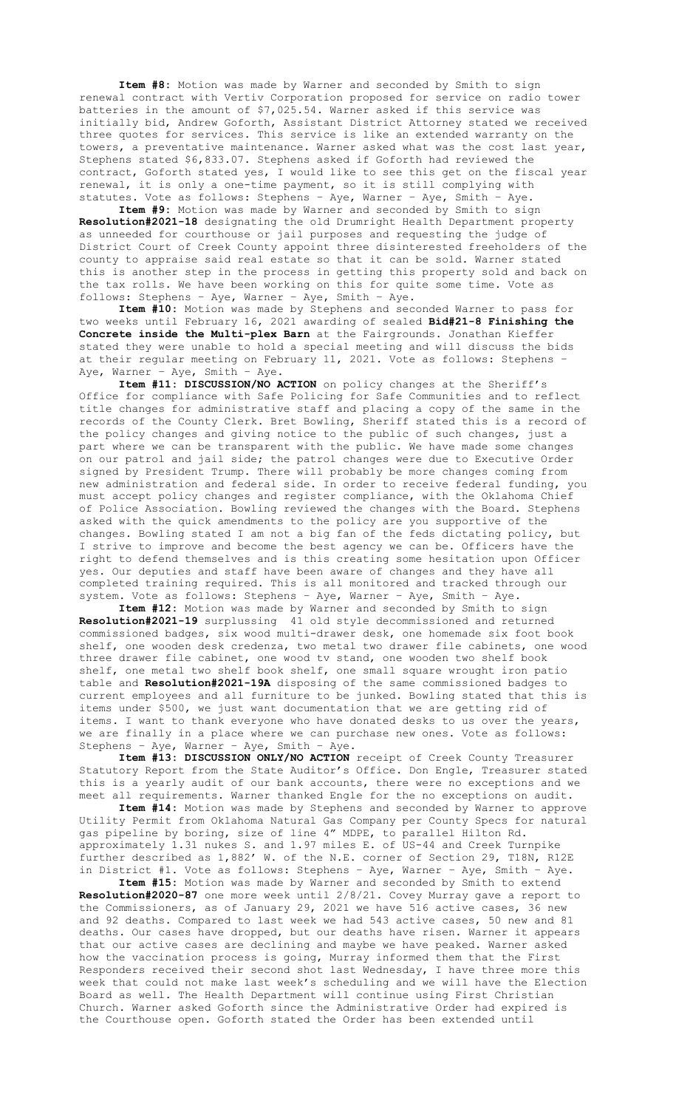**Item #8:** Motion was made by Warner and seconded by Smith to sign renewal contract with Vertiv Corporation proposed for service on radio tower batteries in the amount of \$7,025.54. Warner asked if this service was initially bid, Andrew Goforth, Assistant District Attorney stated we received three quotes for services. This service is like an extended warranty on the towers, a preventative maintenance. Warner asked what was the cost last year, Stephens stated \$6,833.07. Stephens asked if Goforth had reviewed the contract, Goforth stated yes, I would like to see this get on the fiscal year renewal, it is only a one-time payment, so it is still complying with statutes. Vote as follows: Stephens – Aye, Warner – Aye, Smith – Aye.

**Item #9:** Motion was made by Warner and seconded by Smith to sign **Resolution#2021-18** designating the old Drumright Health Department property as unneeded for courthouse or jail purposes and requesting the judge of District Court of Creek County appoint three disinterested freeholders of the county to appraise said real estate so that it can be sold. Warner stated this is another step in the process in getting this property sold and back on the tax rolls. We have been working on this for quite some time. Vote as follows: Stephens – Aye, Warner – Aye, Smith – Aye.

**Item #10:** Motion was made by Stephens and seconded Warner to pass for two weeks until February 16, 2021 awarding of sealed **Bid#21-8 Finishing the Concrete inside the Multi-plex Barn** at the Fairgrounds. Jonathan Kieffer stated they were unable to hold a special meeting and will discuss the bids at their regular meeting on February 11, 2021. Vote as follows: Stephens – Aye, Warner – Aye, Smith – Aye.

**Item #11: DISCUSSION/NO ACTION** on policy changes at the Sheriff's Office for compliance with Safe Policing for Safe Communities and to reflect title changes for administrative staff and placing a copy of the same in the records of the County Clerk. Bret Bowling, Sheriff stated this is a record of the policy changes and giving notice to the public of such changes, just a part where we can be transparent with the public. We have made some changes on our patrol and jail side; the patrol changes were due to Executive Order signed by President Trump. There will probably be more changes coming from new administration and federal side. In order to receive federal funding, you must accept policy changes and register compliance, with the Oklahoma Chief of Police Association. Bowling reviewed the changes with the Board. Stephens asked with the quick amendments to the policy are you supportive of the changes. Bowling stated I am not a big fan of the feds dictating policy, but I strive to improve and become the best agency we can be. Officers have the right to defend themselves and is this creating some hesitation upon Officer yes. Our deputies and staff have been aware of changes and they have all completed training required. This is all monitored and tracked through our system. Vote as follows: Stephens – Aye, Warner – Aye, Smith – Aye.

**Item #12:** Motion was made by Warner and seconded by Smith to sign **Resolution#2021-19** surplussing 41 old style decommissioned and returned commissioned badges, six wood multi-drawer desk, one homemade six foot book shelf, one wooden desk credenza, two metal two drawer file cabinets, one wood three drawer file cabinet, one wood tv stand, one wooden two shelf book shelf, one metal two shelf book shelf, one small square wrought iron patio table and **Resolution#2021-19A** disposing of the same commissioned badges to current employees and all furniture to be junked. Bowling stated that this is items under \$500, we just want documentation that we are getting rid of items. I want to thank everyone who have donated desks to us over the years, we are finally in a place where we can purchase new ones. Vote as follows: Stephens – Aye, Warner – Aye, Smith – Aye.

**Item #13: DISCUSSION ONLY/NO ACTION** receipt of Creek County Treasurer Statutory Report from the State Auditor's Office. Don Engle, Treasurer stated this is a yearly audit of our bank accounts, there were no exceptions and we meet all requirements. Warner thanked Engle for the no exceptions on audit.

**Item #14:** Motion was made by Stephens and seconded by Warner to approve Utility Permit from Oklahoma Natural Gas Company per County Specs for natural gas pipeline by boring, size of line 4" MDPE, to parallel Hilton Rd. approximately 1.31 nukes S. and 1.97 miles E. of US-44 and Creek Turnpike further described as 1,882' W. of the N.E. corner of Section 29, T18N, R12E in District #1. Vote as follows: Stephens – Aye, Warner – Aye, Smith – Aye.

**Item #15:** Motion was made by Warner and seconded by Smith to extend **Resolution#2020-87** one more week until 2/8/21. Covey Murray gave a report to the Commissioners, as of January 29, 2021 we have 516 active cases, 36 new and 92 deaths. Compared to last week we had 543 active cases, 50 new and 81 deaths. Our cases have dropped, but our deaths have risen. Warner it appears that our active cases are declining and maybe we have peaked. Warner asked how the vaccination process is going, Murray informed them that the First Responders received their second shot last Wednesday, I have three more this week that could not make last week's scheduling and we will have the Election Board as well. The Health Department will continue using First Christian Church. Warner asked Goforth since the Administrative Order had expired is the Courthouse open. Goforth stated the Order has been extended until